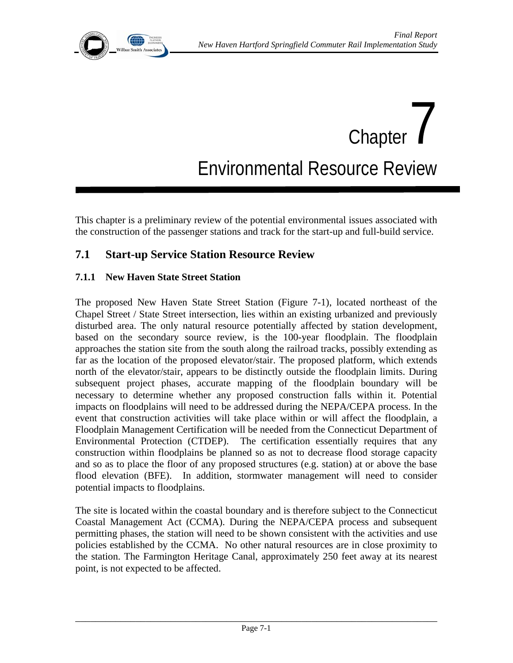

# Chapter  $\int$ Environmental Resource Review

This chapter is a preliminary review of the potential environmental issues associated with the construction of the passenger stations and track for the start-up and full-build service.

# **7.1 Start-up Service Station Resource Review**

## **7.1.1 New Haven State Street Station**

The proposed New Haven State Street Station (Figure 7-1), located northeast of the Chapel Street / State Street intersection, lies within an existing urbanized and previously disturbed area. The only natural resource potentially affected by station development, based on the secondary source review, is the 100-year floodplain. The floodplain approaches the station site from the south along the railroad tracks, possibly extending as far as the location of the proposed elevator/stair. The proposed platform, which extends north of the elevator/stair, appears to be distinctly outside the floodplain limits. During subsequent project phases, accurate mapping of the floodplain boundary will be necessary to determine whether any proposed construction falls within it. Potential impacts on floodplains will need to be addressed during the NEPA/CEPA process. In the event that construction activities will take place within or will affect the floodplain, a Floodplain Management Certification will be needed from the Connecticut Department of Environmental Protection (CTDEP). The certification essentially requires that any construction within floodplains be planned so as not to decrease flood storage capacity and so as to place the floor of any proposed structures (e.g. station) at or above the base flood elevation (BFE). In addition, stormwater management will need to consider potential impacts to floodplains.

The site is located within the coastal boundary and is therefore subject to the Connecticut Coastal Management Act (CCMA). During the NEPA/CEPA process and subsequent permitting phases, the station will need to be shown consistent with the activities and use policies established by the CCMA. No other natural resources are in close proximity to the station. The Farmington Heritage Canal, approximately 250 feet away at its nearest point, is not expected to be affected.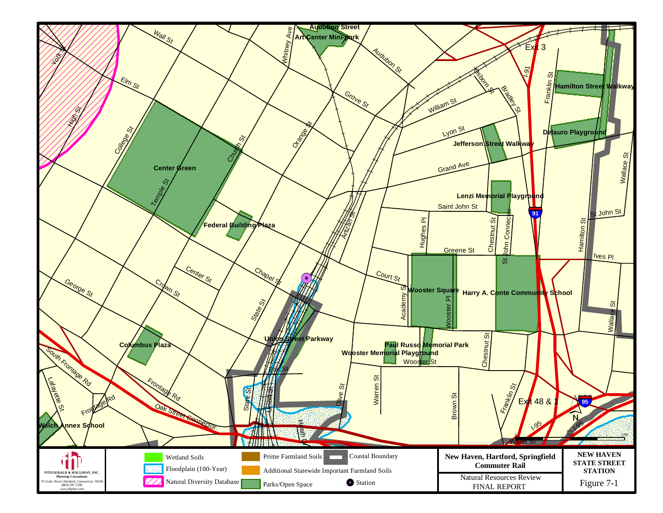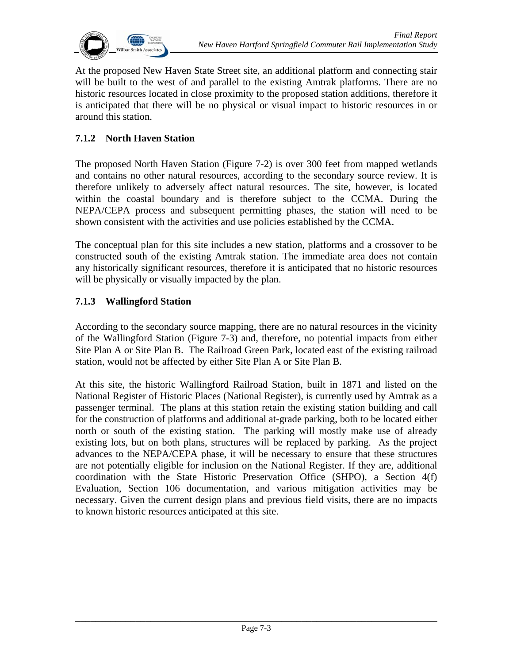

At the proposed New Haven State Street site, an additional platform and connecting stair will be built to the west of and parallel to the existing Amtrak platforms. There are no historic resources located in close proximity to the proposed station additions, therefore it is anticipated that there will be no physical or visual impact to historic resources in or around this station.

# **7.1.2 North Haven Station**

The proposed North Haven Station (Figure 7-2) is over 300 feet from mapped wetlands and contains no other natural resources, according to the secondary source review. It is therefore unlikely to adversely affect natural resources. The site, however, is located within the coastal boundary and is therefore subject to the CCMA. During the NEPA/CEPA process and subsequent permitting phases, the station will need to be shown consistent with the activities and use policies established by the CCMA.

The conceptual plan for this site includes a new station, platforms and a crossover to be constructed south of the existing Amtrak station. The immediate area does not contain any historically significant resources, therefore it is anticipated that no historic resources will be physically or visually impacted by the plan.

#### **7.1.3 Wallingford Station**

According to the secondary source mapping, there are no natural resources in the vicinity of the Wallingford Station (Figure 7-3) and, therefore, no potential impacts from either Site Plan A or Site Plan B. The Railroad Green Park, located east of the existing railroad station, would not be affected by either Site Plan A or Site Plan B.

At this site, the historic Wallingford Railroad Station, built in 1871 and listed on the National Register of Historic Places (National Register), is currently used by Amtrak as a passenger terminal. The plans at this station retain the existing station building and call for the construction of platforms and additional at-grade parking, both to be located either north or south of the existing station. The parking will mostly make use of already existing lots, but on both plans, structures will be replaced by parking. As the project advances to the NEPA/CEPA phase, it will be necessary to ensure that these structures are not potentially eligible for inclusion on the National Register. If they are, additional coordination with the State Historic Preservation Office (SHPO), a Section 4(f) Evaluation, Section 106 documentation, and various mitigation activities may be necessary. Given the current design plans and previous field visits, there are no impacts to known historic resources anticipated at this site.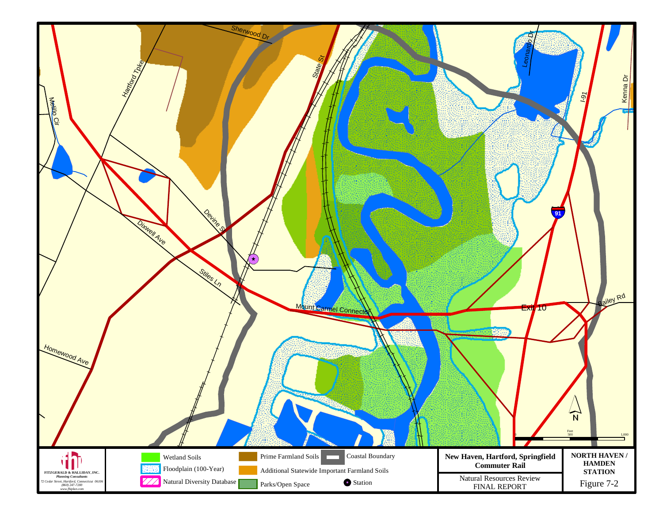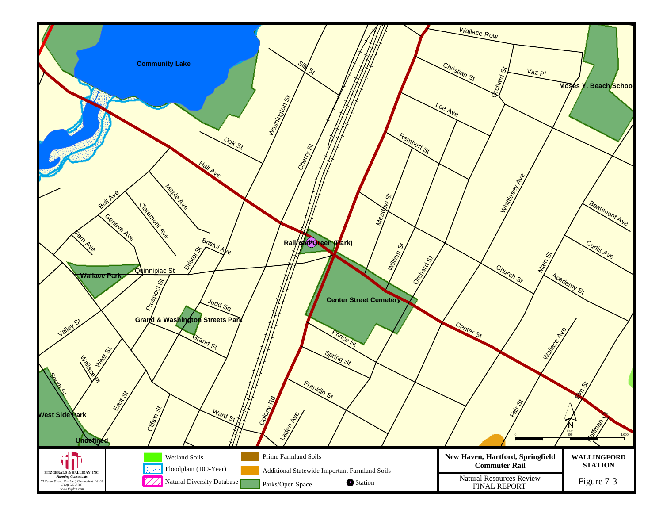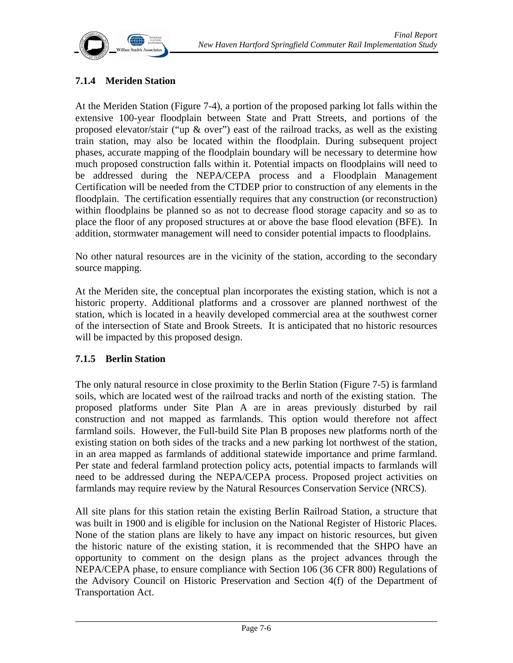

## **7.1.4 Meriden Station**

At the Meriden Station (Figure 7-4), a portion of the proposed parking lot falls within the extensive 100-year floodplain between State and Pratt Streets, and portions of the proposed elevator/stair ("up & over") east of the railroad tracks, as well as the existing train station, may also be located within the floodplain. During subsequent project phases, accurate mapping of the floodplain boundary will be necessary to determine how much proposed construction falls within it. Potential impacts on floodplains will need to be addressed during the NEPA/CEPA process and a Floodplain Management Certification will be needed from the CTDEP prior to construction of any elements in the floodplain. The certification essentially requires that any construction (or reconstruction) within floodplains be planned so as not to decrease flood storage capacity and so as to place the floor of any proposed structures at or above the base flood elevation (BFE). In addition, stormwater management will need to consider potential impacts to floodplains.

No other natural resources are in the vicinity of the station, according to the secondary source mapping.

At the Meriden site, the conceptual plan incorporates the existing station, which is not a historic property. Additional platforms and a crossover are planned northwest of the station, which is located in a heavily developed commercial area at the southwest corner of the intersection of State and Brook Streets. It is anticipated that no historic resources will be impacted by this proposed design.

#### **7.1.5 Berlin Station**

The only natural resource in close proximity to the Berlin Station (Figure 7-5) is farmland soils, which are located west of the railroad tracks and north of the existing station. The proposed platforms under Site Plan A are in areas previously disturbed by rail construction and not mapped as farmlands. This option would therefore not affect farmland soils. However, the Full-build Site Plan B proposes new platforms north of the existing station on both sides of the tracks and a new parking lot northwest of the station, in an area mapped as farmlands of additional statewide importance and prime farmland. Per state and federal farmland protection policy acts, potential impacts to farmlands will need to be addressed during the NEPA/CEPA process. Proposed project activities on farmlands may require review by the Natural Resources Conservation Service (NRCS).

All site plans for this station retain the existing Berlin Railroad Station, a structure that was built in 1900 and is eligible for inclusion on the National Register of Historic Places. None of the station plans are likely to have any impact on historic resources, but given the historic nature of the existing station, it is recommended that the SHPO have an opportunity to comment on the design plans as the project advances through the NEPA/CEPA phase, to ensure compliance with Section 106 (36 CFR 800) Regulations of the Advisory Council on Historic Preservation and Section 4(f) of the Department of Transportation Act.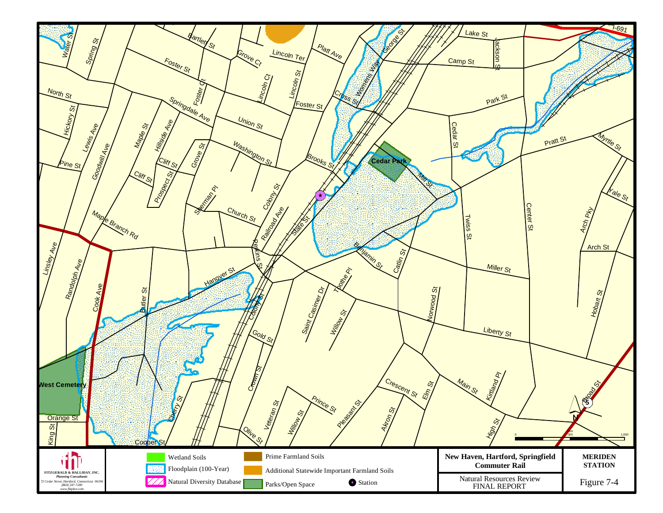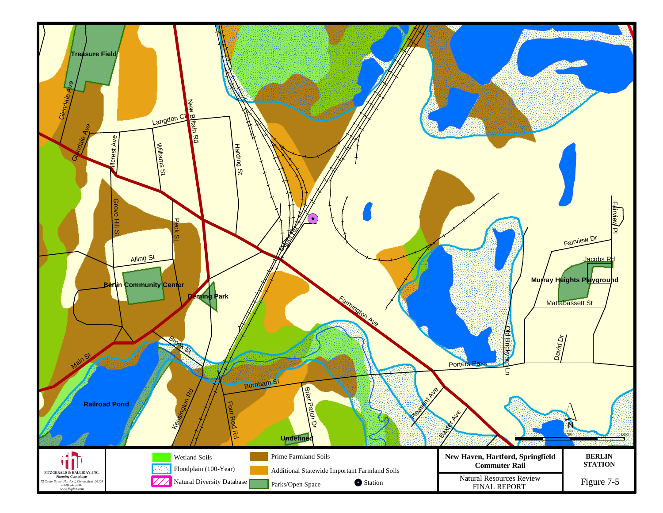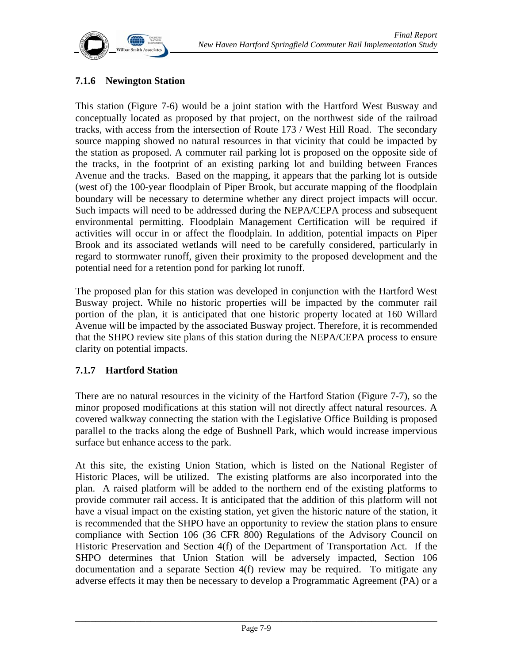

# **7.1.6 Newington Station**

This station (Figure 7-6) would be a joint station with the Hartford West Busway and conceptually located as proposed by that project, on the northwest side of the railroad tracks, with access from the intersection of Route 173 / West Hill Road. The secondary source mapping showed no natural resources in that vicinity that could be impacted by the station as proposed. A commuter rail parking lot is proposed on the opposite side of the tracks, in the footprint of an existing parking lot and building between Frances Avenue and the tracks. Based on the mapping, it appears that the parking lot is outside (west of) the 100-year floodplain of Piper Brook, but accurate mapping of the floodplain boundary will be necessary to determine whether any direct project impacts will occur. Such impacts will need to be addressed during the NEPA/CEPA process and subsequent environmental permitting. Floodplain Management Certification will be required if activities will occur in or affect the floodplain. In addition, potential impacts on Piper Brook and its associated wetlands will need to be carefully considered, particularly in regard to stormwater runoff, given their proximity to the proposed development and the potential need for a retention pond for parking lot runoff.

The proposed plan for this station was developed in conjunction with the Hartford West Busway project. While no historic properties will be impacted by the commuter rail portion of the plan, it is anticipated that one historic property located at 160 Willard Avenue will be impacted by the associated Busway project. Therefore, it is recommended that the SHPO review site plans of this station during the NEPA/CEPA process to ensure clarity on potential impacts.

#### **7.1.7 Hartford Station**

There are no natural resources in the vicinity of the Hartford Station (Figure 7-7), so the minor proposed modifications at this station will not directly affect natural resources. A covered walkway connecting the station with the Legislative Office Building is proposed parallel to the tracks along the edge of Bushnell Park, which would increase impervious surface but enhance access to the park.

At this site, the existing Union Station, which is listed on the National Register of Historic Places, will be utilized. The existing platforms are also incorporated into the plan. A raised platform will be added to the northern end of the existing platforms to provide commuter rail access. It is anticipated that the addition of this platform will not have a visual impact on the existing station, yet given the historic nature of the station, it is recommended that the SHPO have an opportunity to review the station plans to ensure compliance with Section 106 (36 CFR 800) Regulations of the Advisory Council on Historic Preservation and Section 4(f) of the Department of Transportation Act. If the SHPO determines that Union Station will be adversely impacted, Section 106 documentation and a separate Section 4(f) review may be required. To mitigate any adverse effects it may then be necessary to develop a Programmatic Agreement (PA) or a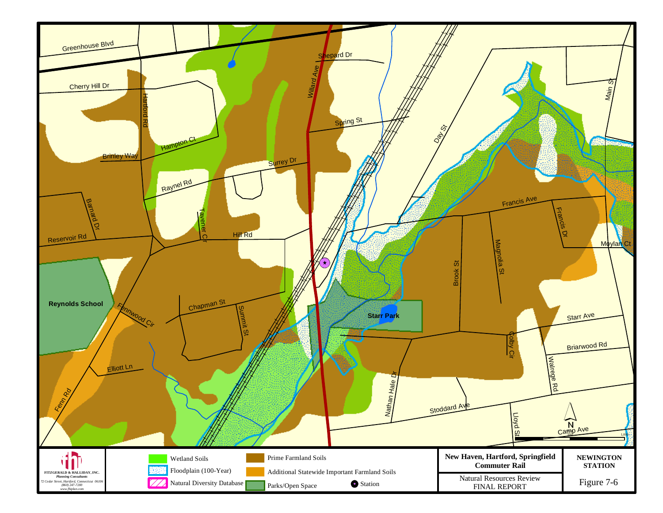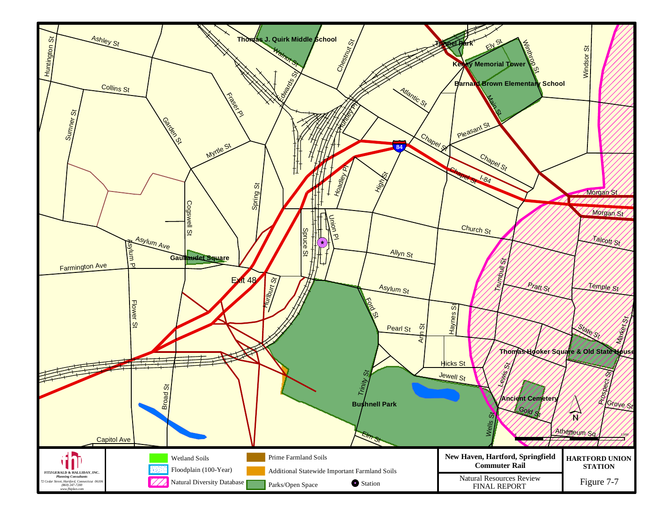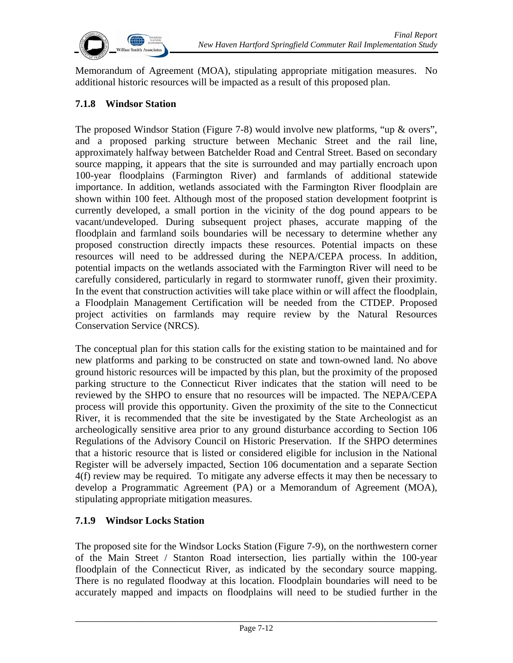

Memorandum of Agreement (MOA), stipulating appropriate mitigation measures. No additional historic resources will be impacted as a result of this proposed plan.

# **7.1.8 Windsor Station**

The proposed Windsor Station (Figure 7-8) would involve new platforms, "up & overs", and a proposed parking structure between Mechanic Street and the rail line, approximately halfway between Batchelder Road and Central Street. Based on secondary source mapping, it appears that the site is surrounded and may partially encroach upon 100-year floodplains (Farmington River) and farmlands of additional statewide importance. In addition, wetlands associated with the Farmington River floodplain are shown within 100 feet. Although most of the proposed station development footprint is currently developed, a small portion in the vicinity of the dog pound appears to be vacant/undeveloped. During subsequent project phases, accurate mapping of the floodplain and farmland soils boundaries will be necessary to determine whether any proposed construction directly impacts these resources. Potential impacts on these resources will need to be addressed during the NEPA/CEPA process. In addition, potential impacts on the wetlands associated with the Farmington River will need to be carefully considered, particularly in regard to stormwater runoff, given their proximity. In the event that construction activities will take place within or will affect the floodplain, a Floodplain Management Certification will be needed from the CTDEP. Proposed project activities on farmlands may require review by the Natural Resources Conservation Service (NRCS).

The conceptual plan for this station calls for the existing station to be maintained and for new platforms and parking to be constructed on state and town-owned land. No above ground historic resources will be impacted by this plan, but the proximity of the proposed parking structure to the Connecticut River indicates that the station will need to be reviewed by the SHPO to ensure that no resources will be impacted. The NEPA/CEPA process will provide this opportunity. Given the proximity of the site to the Connecticut River, it is recommended that the site be investigated by the State Archeologist as an archeologically sensitive area prior to any ground disturbance according to Section 106 Regulations of the Advisory Council on Historic Preservation. If the SHPO determines that a historic resource that is listed or considered eligible for inclusion in the National Register will be adversely impacted, Section 106 documentation and a separate Section 4(f) review may be required. To mitigate any adverse effects it may then be necessary to develop a Programmatic Agreement (PA) or a Memorandum of Agreement (MOA), stipulating appropriate mitigation measures.

#### **7.1.9 Windsor Locks Station**

The proposed site for the Windsor Locks Station (Figure 7-9), on the northwestern corner of the Main Street / Stanton Road intersection, lies partially within the 100-year floodplain of the Connecticut River, as indicated by the secondary source mapping. There is no regulated floodway at this location. Floodplain boundaries will need to be accurately mapped and impacts on floodplains will need to be studied further in the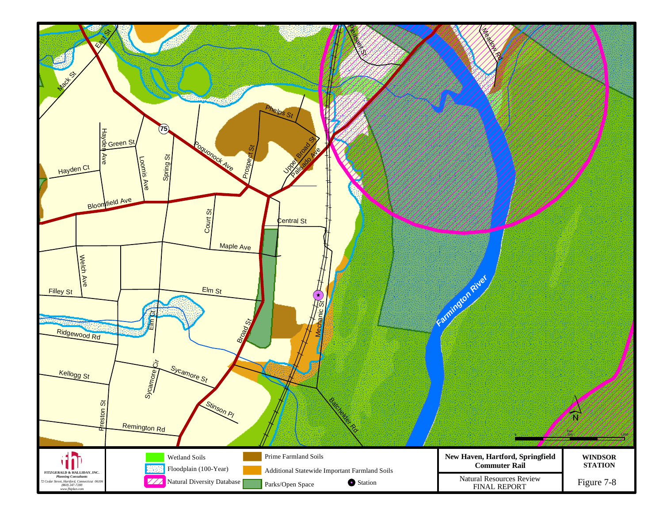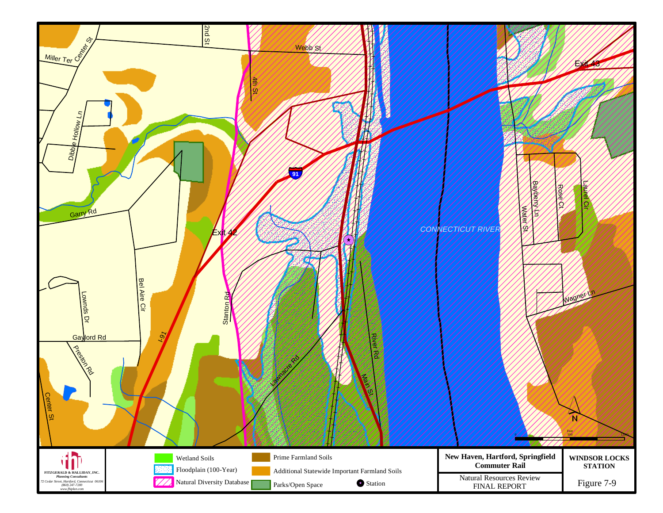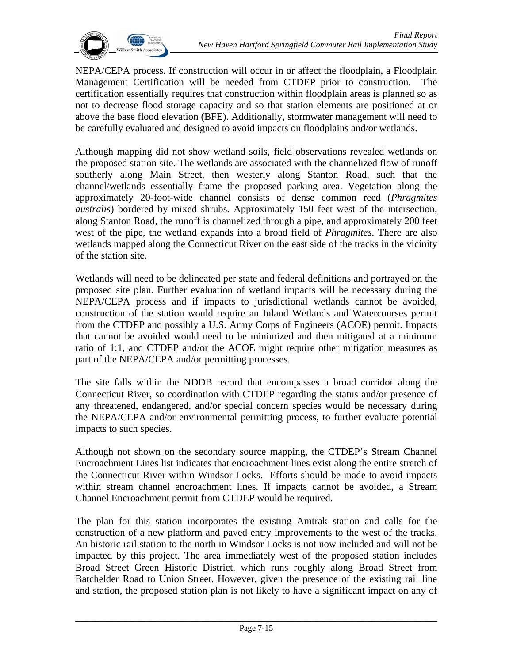

NEPA/CEPA process. If construction will occur in or affect the floodplain, a Floodplain Management Certification will be needed from CTDEP prior to construction. The certification essentially requires that construction within floodplain areas is planned so as not to decrease flood storage capacity and so that station elements are positioned at or above the base flood elevation (BFE). Additionally, stormwater management will need to be carefully evaluated and designed to avoid impacts on floodplains and/or wetlands.

Although mapping did not show wetland soils, field observations revealed wetlands on the proposed station site. The wetlands are associated with the channelized flow of runoff southerly along Main Street, then westerly along Stanton Road, such that the channel/wetlands essentially frame the proposed parking area. Vegetation along the approximately 20-foot-wide channel consists of dense common reed (*Phragmites australis*) bordered by mixed shrubs. Approximately 150 feet west of the intersection, along Stanton Road, the runoff is channelized through a pipe, and approximately 200 feet west of the pipe, the wetland expands into a broad field of *Phragmites*. There are also wetlands mapped along the Connecticut River on the east side of the tracks in the vicinity of the station site.

Wetlands will need to be delineated per state and federal definitions and portrayed on the proposed site plan. Further evaluation of wetland impacts will be necessary during the NEPA/CEPA process and if impacts to jurisdictional wetlands cannot be avoided, construction of the station would require an Inland Wetlands and Watercourses permit from the CTDEP and possibly a U.S. Army Corps of Engineers (ACOE) permit. Impacts that cannot be avoided would need to be minimized and then mitigated at a minimum ratio of 1:1, and CTDEP and/or the ACOE might require other mitigation measures as part of the NEPA/CEPA and/or permitting processes.

The site falls within the NDDB record that encompasses a broad corridor along the Connecticut River, so coordination with CTDEP regarding the status and/or presence of any threatened, endangered, and/or special concern species would be necessary during the NEPA/CEPA and/or environmental permitting process, to further evaluate potential impacts to such species.

Although not shown on the secondary source mapping, the CTDEP's Stream Channel Encroachment Lines list indicates that encroachment lines exist along the entire stretch of the Connecticut River within Windsor Locks. Efforts should be made to avoid impacts within stream channel encroachment lines. If impacts cannot be avoided, a Stream Channel Encroachment permit from CTDEP would be required.

The plan for this station incorporates the existing Amtrak station and calls for the construction of a new platform and paved entry improvements to the west of the tracks. An historic rail station to the north in Windsor Locks is not now included and will not be impacted by this project. The area immediately west of the proposed station includes Broad Street Green Historic District, which runs roughly along Broad Street from Batchelder Road to Union Street. However, given the presence of the existing rail line and station, the proposed station plan is not likely to have a significant impact on any of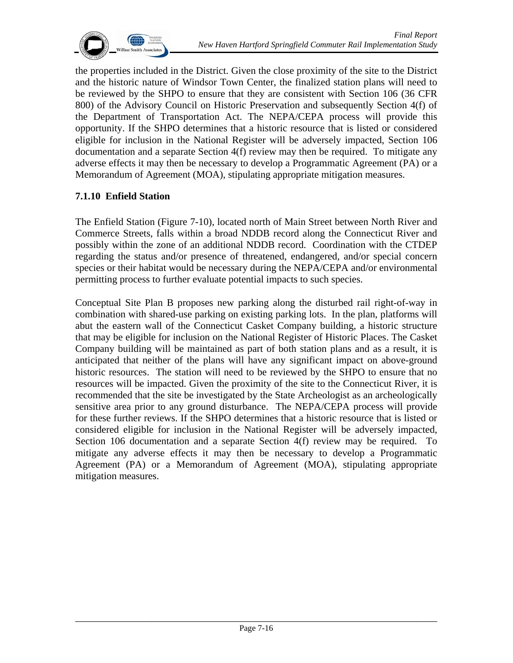

the properties included in the District. Given the close proximity of the site to the District and the historic nature of Windsor Town Center, the finalized station plans will need to be reviewed by the SHPO to ensure that they are consistent with Section 106 (36 CFR 800) of the Advisory Council on Historic Preservation and subsequently Section 4(f) of the Department of Transportation Act. The NEPA/CEPA process will provide this opportunity. If the SHPO determines that a historic resource that is listed or considered eligible for inclusion in the National Register will be adversely impacted, Section 106 documentation and a separate Section 4(f) review may then be required. To mitigate any adverse effects it may then be necessary to develop a Programmatic Agreement (PA) or a Memorandum of Agreement (MOA), stipulating appropriate mitigation measures.

#### **7.1.10 Enfield Station**

The Enfield Station (Figure 7-10), located north of Main Street between North River and Commerce Streets, falls within a broad NDDB record along the Connecticut River and possibly within the zone of an additional NDDB record. Coordination with the CTDEP regarding the status and/or presence of threatened, endangered, and/or special concern species or their habitat would be necessary during the NEPA/CEPA and/or environmental permitting process to further evaluate potential impacts to such species.

Conceptual Site Plan B proposes new parking along the disturbed rail right-of-way in combination with shared-use parking on existing parking lots. In the plan, platforms will abut the eastern wall of the Connecticut Casket Company building, a historic structure that may be eligible for inclusion on the National Register of Historic Places. The Casket Company building will be maintained as part of both station plans and as a result, it is anticipated that neither of the plans will have any significant impact on above-ground historic resources. The station will need to be reviewed by the SHPO to ensure that no resources will be impacted. Given the proximity of the site to the Connecticut River, it is recommended that the site be investigated by the State Archeologist as an archeologically sensitive area prior to any ground disturbance. The NEPA/CEPA process will provide for these further reviews. If the SHPO determines that a historic resource that is listed or considered eligible for inclusion in the National Register will be adversely impacted, Section 106 documentation and a separate Section 4(f) review may be required. To mitigate any adverse effects it may then be necessary to develop a Programmatic Agreement (PA) or a Memorandum of Agreement (MOA), stipulating appropriate mitigation measures.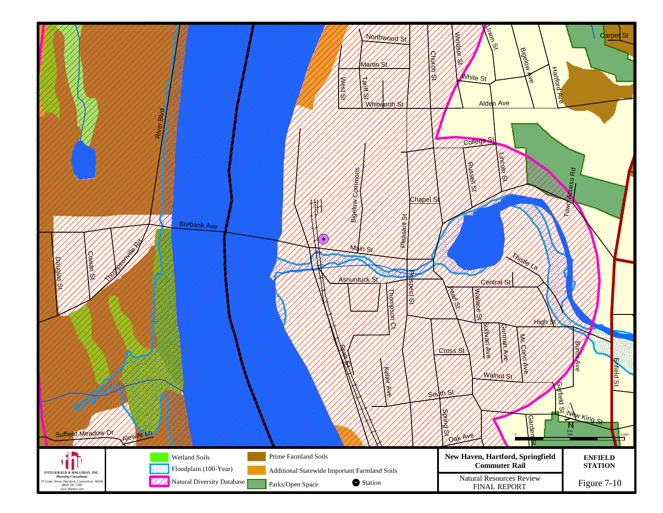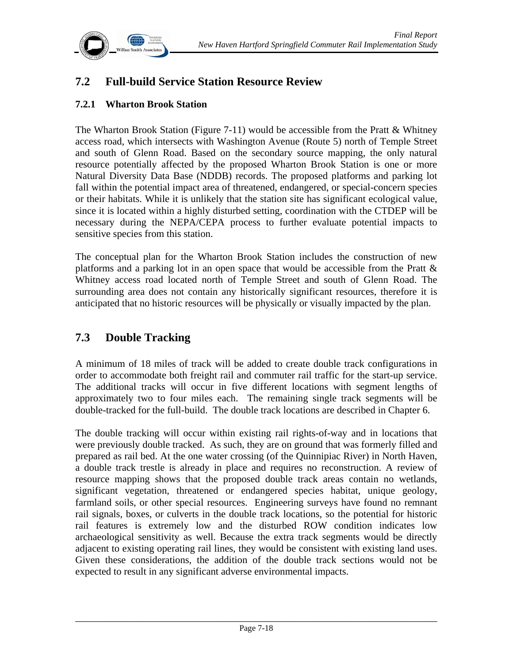

# **7.2 Full-build Service Station Resource Review**

## **7.2.1 Wharton Brook Station**

The Wharton Brook Station (Figure 7-11) would be accessible from the Pratt & Whitney access road, which intersects with Washington Avenue (Route 5) north of Temple Street and south of Glenn Road. Based on the secondary source mapping, the only natural resource potentially affected by the proposed Wharton Brook Station is one or more Natural Diversity Data Base (NDDB) records. The proposed platforms and parking lot fall within the potential impact area of threatened, endangered, or special-concern species or their habitats. While it is unlikely that the station site has significant ecological value, since it is located within a highly disturbed setting, coordination with the CTDEP will be necessary during the NEPA/CEPA process to further evaluate potential impacts to sensitive species from this station.

The conceptual plan for the Wharton Brook Station includes the construction of new platforms and a parking lot in an open space that would be accessible from the Pratt & Whitney access road located north of Temple Street and south of Glenn Road. The surrounding area does not contain any historically significant resources, therefore it is anticipated that no historic resources will be physically or visually impacted by the plan.

# **7.3 Double Tracking**

A minimum of 18 miles of track will be added to create double track configurations in order to accommodate both freight rail and commuter rail traffic for the start-up service. The additional tracks will occur in five different locations with segment lengths of approximately two to four miles each. The remaining single track segments will be double-tracked for the full-build. The double track locations are described in Chapter 6.

The double tracking will occur within existing rail rights-of-way and in locations that were previously double tracked. As such, they are on ground that was formerly filled and prepared as rail bed. At the one water crossing (of the Quinnipiac River) in North Haven, a double track trestle is already in place and requires no reconstruction. A review of resource mapping shows that the proposed double track areas contain no wetlands, significant vegetation, threatened or endangered species habitat, unique geology, farmland soils, or other special resources. Engineering surveys have found no remnant rail signals, boxes, or culverts in the double track locations, so the potential for historic rail features is extremely low and the disturbed ROW condition indicates low archaeological sensitivity as well. Because the extra track segments would be directly adjacent to existing operating rail lines, they would be consistent with existing land uses. Given these considerations, the addition of the double track sections would not be expected to result in any significant adverse environmental impacts.